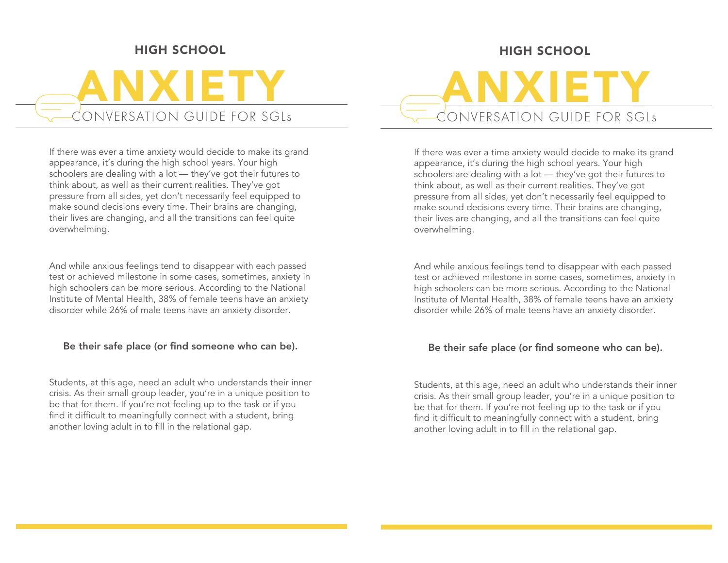## HIGH SCHOOL

# ANXIETY CONVERSATION GUIDE FOR SGLs

If there was ever a time anxiety would decide to make its grand appearance, it's during the high school years. Your high schoolers are dealing with a lot — they've got their futures to think about, as well as their current realities. They've got pressure from all sides, yet don't necessarily feel equipped to make sound decisions every time. Their brains are changing, their lives are changing, and all the transitions can feel quite overwhelming.

And while anxious feelings tend to disappear with each passed test or achieved milestone in some cases, sometimes, anxiety in high schoolers can be more serious. According to the National Institute of Mental Health, 38% of female teens have an anxiety disorder while 26% of male teens have an anxiety disorder.

#### Be their safe place (or find someone who can be).

Students, at this age, need an adult who understands their inner crisis. As their small group leader, you're in a unique position to be that for them. If you're not feeling up to the task or if you find it difficult to meaningfully connect with a student, bring another loving adult in to fill in the relational gap.

## HIGH SCHOOL

ANXIETY CONVERSATION GUIDE FOR SGLs

If there was ever a time anxiety would decide to make its grand appearance, it's during the high school years. Your high schoolers are dealing with a lot — they've got their futures to think about, as well as their current realities. They've got pressure from all sides, yet don't necessarily feel equipped to make sound decisions every time. Their brains are changing, their lives are changing, and all the transitions can feel quite overwhelming.

And while anxious feelings tend to disappear with each passed test or achieved milestone in some cases, sometimes, anxiety in high schoolers can be more serious. According to the National Institute of Mental Health, 38% of female teens have an anxiety disorder while 26% of male teens have an anxiety disorder.

#### Be their safe place (or find someone who can be).

Students, at this age, need an adult who understands their inner crisis. As their small group leader, you're in a unique position to be that for them. If you're not feeling up to the task or if you find it difficult to meaningfully connect with a student, bring another loving adult in to fill in the relational gap.